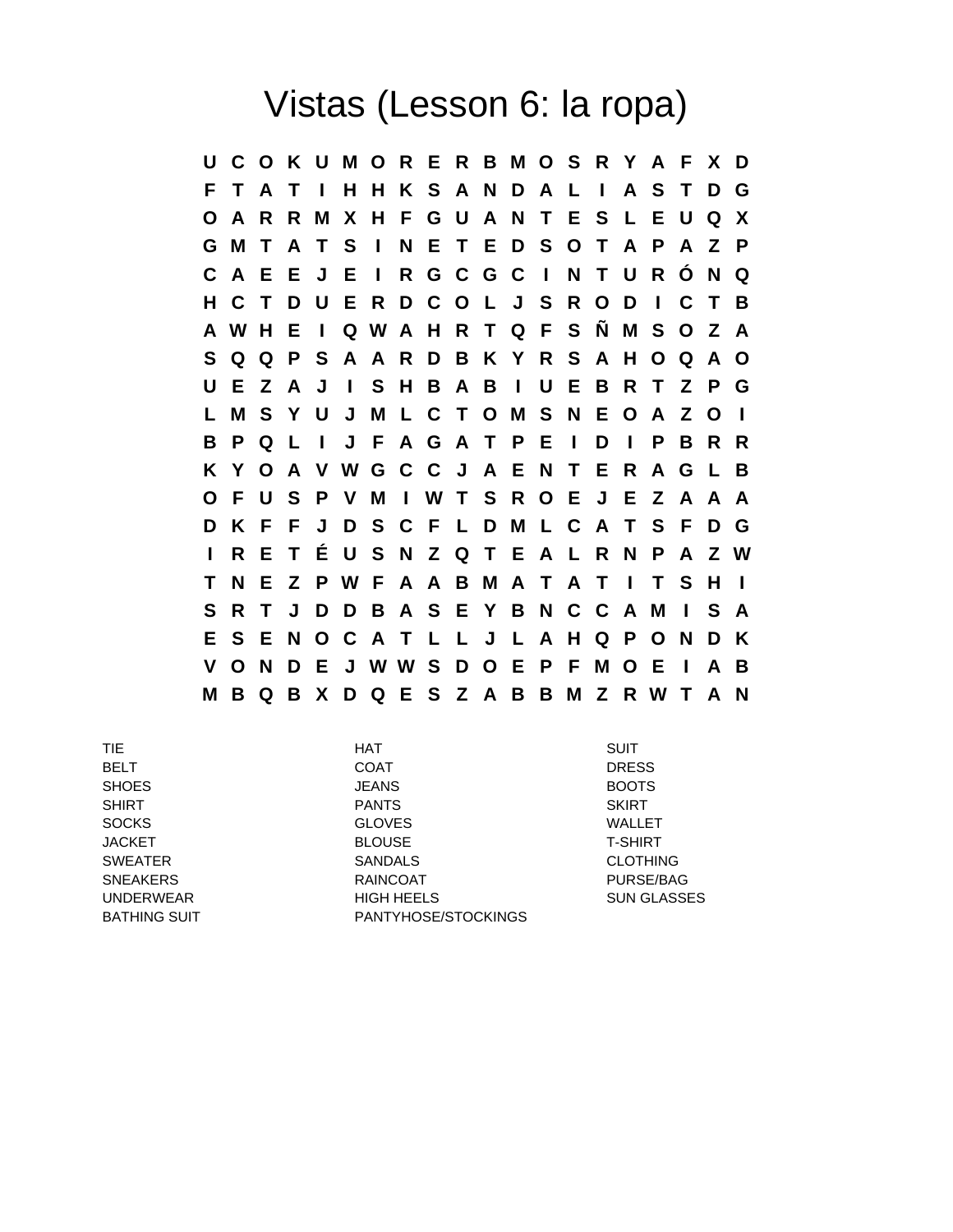## Vistas (Lesson 6: la ropa)

**U C O K U M O R E R B M O S R Y A F X D F T A T I H H K S A N D A L I A S T D G O A R R M X H F G U A N T E S L E U Q X G M T A T S I N E T E D S O T A P A Z P C A E E J E I R G C G C I N T U R Ó N Q H C T D U E R D C O L J S R O D I C T B A W H E I Q W A H R T Q F S Ñ M S O Z A S Q Q P S A A R D B K Y R S A H O Q A O U E Z A J I S H B A B I U E B R T Z P G L M S Y U J M L C T O M S N E O A Z O I B P Q L I J F A G A T P E I D I P B R R K Y O A V W G C C J A E N T E R A G L B O F U S P V M I W T S R O E J E Z A A A D K F F J D S C F L D M L C A T S F D G I R E T É U S N Z Q T E A L R N P A Z W T N E Z P W F A A B M A T A T I T S H I S R T J D D B A S E Y B N C C A M I S A E S E N O C A T L L J L A H Q P O N D K V O N D E J W W S D O E P F M O E I A B M B Q B X D Q E S Z A B B M Z R W T A N**

TIE SUIT DE HAT SUIT DE SUIT DE SUIT DE SUIT DE SUIT DE LA GEBEURE DE LA GEBEURE DE LA GEBEURE DE LA GEBEURE D BELT COAT DRESS SHOES JEANS BOOTS SHIRT PANTS SKIRT SOCKS GLOVES WALLET JACKET BLOUSE T-SHIRT SWEATER SANDALS CLOTHING SNEAKERS RAINCOAT PURSE/BAG UNDERWEAR HIGH HEELS SUN GLASSES BATHING SUIT PANTYHOSE/STOCKINGS